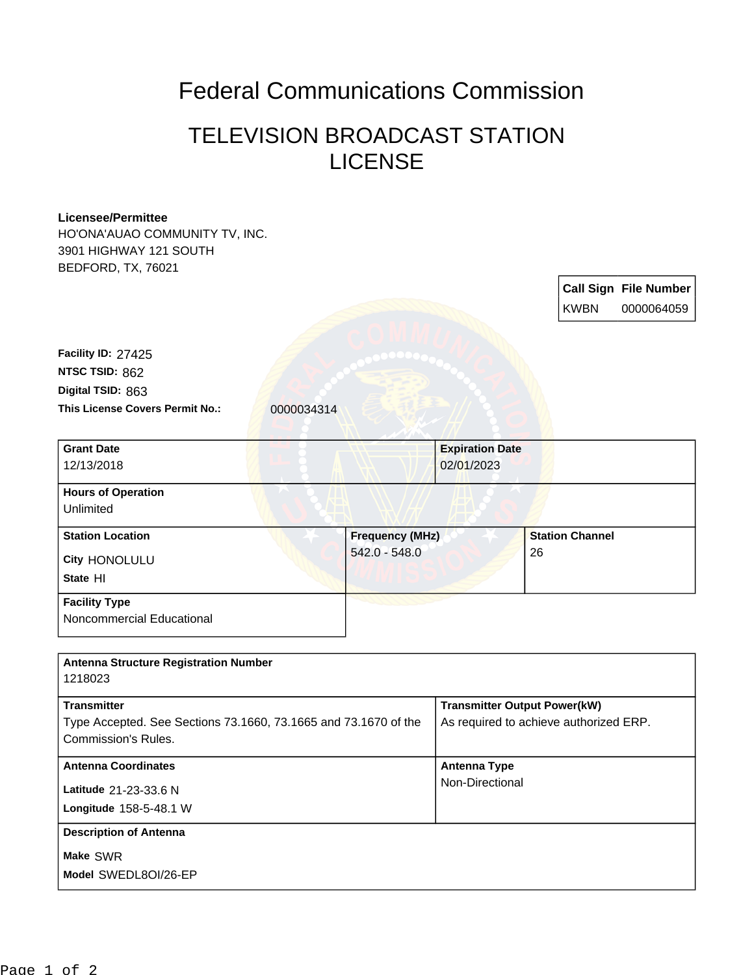## Federal Communications Commission

## TELEVISION BROADCAST STATION LICENSE

## **Licensee/Permittee** HO'ONA'AUAO COMMUNITY TV, INC. 3901 HIGHWAY 121 SOUTH BEDFORD, TX, 76021 **Call Sign File Number** KWBN 0000064059 **This License Covers Permit No.:** 0000034314 **Digital TSID:** 863 **NTSC TSID:** 862 **Facility ID:** 27425 **Longitude** 158-5-48.1 W **Latitude** 21-23-33.6 N **State** HI **City** HONOLULU **Grant Date** 12/13/2018 **Expiration Date** 02/01/2023 **Hours of Operation** Unlimited **Station Location Frequency (MHz)** 542.0 - 548.0 **Station Channel** 26 **Facility Type** Noncommercial Educational **Antenna Structure Registration Number** 1218023 **Transmitter** Type Accepted. See Sections 73.1660, 73.1665 and 73.1670 of the Commission's Rules. **Transmitter Output Power(kW)** As required to achieve authorized ERP. **Antenna Coordinates Antenna Type** Non-Directional **Description of Antenna**

**Make** SWR

**Model** SWEDL8OI/26-EP